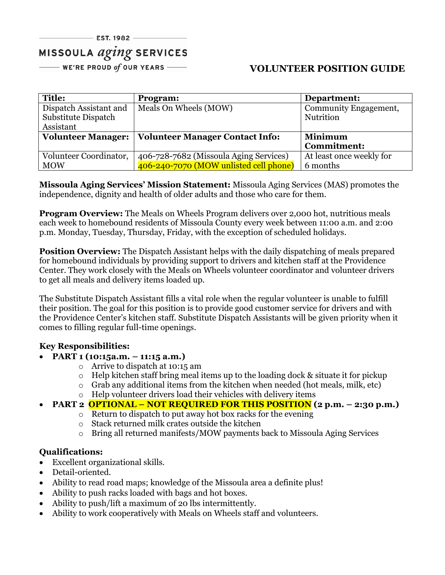# MISSOULA *aging* SERVICES

 $-$  WE'RE PROUD of OUR YEARS  $-\!\!\!-\!\!\!-\!\!\!-$ 

## **VOLUNTEER POSITION GUIDE**

| <b>Title:</b>             | Program:                               | Department:              |
|---------------------------|----------------------------------------|--------------------------|
| Dispatch Assistant and    | Meals On Wheels (MOW)                  | Community Engagement,    |
| Substitute Dispatch       |                                        | Nutrition                |
| Assistant                 |                                        |                          |
| <b>Volunteer Manager:</b> | <b>Volunteer Manager Contact Info:</b> | <b>Minimum</b>           |
|                           |                                        | <b>Commitment:</b>       |
| Volunteer Coordinator,    | 406-728-7682 (Missoula Aging Services) | At least once weekly for |
| <b>MOW</b>                | 406-240-7070 (MOW unlisted cell phone) | 6 months                 |

**Missoula Aging Services' Mission Statement:** Missoula Aging Services (MAS) promotes the independence, dignity and health of older adults and those who care for them.

**Program Overview:** The Meals on Wheels Program delivers over 2,000 hot, nutritious meals each week to homebound residents of Missoula County every week between 11:00 a.m. and 2:00 p.m. Monday, Tuesday, Thursday, Friday, with the exception of scheduled holidays.

**Position Overview:** The Dispatch Assistant helps with the daily dispatching of meals prepared for homebound individuals by providing support to drivers and kitchen staff at the Providence Center. They work closely with the Meals on Wheels volunteer coordinator and volunteer drivers to get all meals and delivery items loaded up.

The Substitute Dispatch Assistant fills a vital role when the regular volunteer is unable to fulfill their position. The goal for this position is to provide good customer service for drivers and with the Providence Center's kitchen staff. Substitute Dispatch Assistants will be given priority when it comes to filling regular full-time openings.

### **Key Responsibilities:**

- **PART 1 (10:15a.m. – 11:15 a.m.)**
	- o Arrive to dispatch at 10:15 am
	- o Help kitchen staff bring meal items up to the loading dock & situate it for pickup
	- o Grab any additional items from the kitchen when needed (hot meals, milk, etc)
	- o Help volunteer drivers load their vehicles with delivery items

## • **PART 2 OPTIONAL – NOT REQUIRED FOR THIS POSITION (2 p.m. – 2:30 p.m.)**

- o Return to dispatch to put away hot box racks for the evening
	- o Stack returned milk crates outside the kitchen
- o Bring all returned manifests/MOW payments back to Missoula Aging Services

### **Qualifications:**

- Excellent organizational skills.
- Detail-oriented.
- Ability to read road maps; knowledge of the Missoula area a definite plus!
- Ability to push racks loaded with bags and hot boxes.
- Ability to push/lift a maximum of 20 lbs intermittently.
- Ability to work cooperatively with Meals on Wheels staff and volunteers.